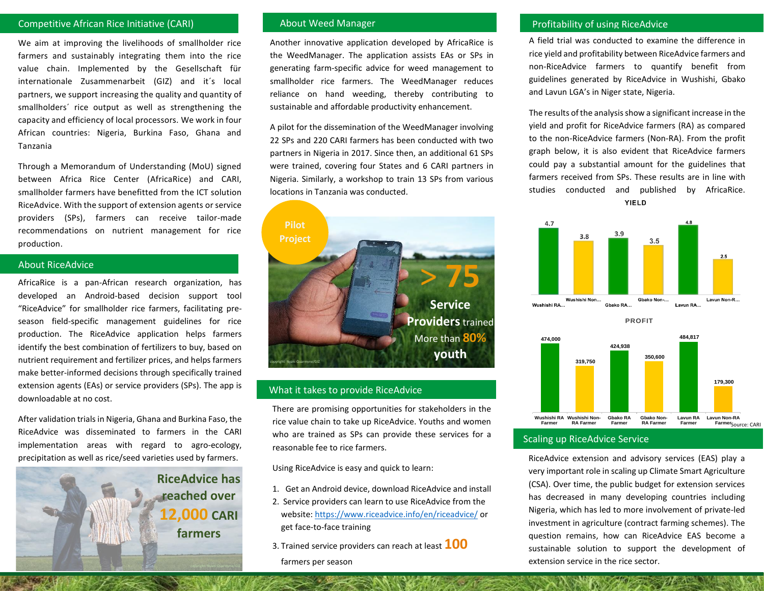## Competitive African Rice Initiative (CARI)

We aim at improving the livelihoods of smallholder rice farmers and sustainably integrating them into the rice value chain. Implemented by the Gesellschaft für internationale Zusammenarbeit (GIZ) and it´s local partners, we support increasing the quality and quantity of smallholders´ rice output as well as strengthening the capacity and efficiency of local processors. We work in four African countries: Nigeria, Burkina Faso, Ghana and Tanzania

Through a Memorandum of Understanding (MoU) signed between Africa Rice Center (AfricaRice) and CARI, smallholder farmers have benefitted from the ICT solution RiceAdvice. With the support of extension agents or service providers (SPs), farmers can receive tailor-made recommendations on nutrient management for rice production.

#### About RiceAdvice

AfricaRice is a pan-African research organization, has developed an Android-based decision support tool "RiceAdvice" for smallholder rice farmers, facilitating preseason field-specific management guidelines for rice production. The RiceAdvice application helps farmers identify the best combination of fertilizers to buy, based on nutrient requirement and fertilizer prices, and helps farmers make better-informed decisions through specifically trained extension agents (EAs) or service providers (SPs). The app is downloadable at no cost.

After validation trials in Nigeria, Ghana and Burkina Faso, the RiceAdvice was disseminated to farmers in the CARI implementation areas with regard to agro-ecology, precipitation as well as rice/seed varieties used by farmers.

> **RiceAdvice has reached over 12,000 CARI farmers**

#### About Weed Manager

Another innovative application developed by AfricaRice is the WeedManager. The application assists EAs or SPs in generating farm-specific advice for weed management to smallholder rice farmers. The WeedManager reduces reliance on hand weeding, thereby contributing to sustainable and affordable productivity enhancement.

A pilot for the dissemination of the WeedManager involving 22 SPs and 220 CARI farmers has been conducted with two partners in Nigeria in 2017. Since then, an additional 61 SPs were trained, covering four States and 6 CARI partners in Nigeria. Similarly, a workshop to train 13 SPs from various locations in Tanzania was conducted.



#### What it takes to provide RiceAdvice

There are promising opportunities for stakeholders in the rice value chain to take up RiceAdvice. Youths and women who are trained as SPs can provide these services for a reasonable fee to rice farmers.

Using RiceAdvice is easy and quick to learn:

- 1. Get an Android device, download RiceAdvice and install
- 2. Service providers can learn to use RiceAdvice from the website[: https://www.riceadvice.info/en/riceadvice/](https://www.riceadvice.info/en/riceadvice/) or get face-to-face training
- 3. Trained service providers can reach at least **100**  farmers per season

# Profitability of using RiceAdvice

A field trial was conducted to examine the difference in rice yield and profitability between RiceAdvice farmers and non-RiceAdvice farmers to quantify benefit from guidelines generated by RiceAdvice in Wushishi, Gbako and Lavun LGA's in Niger state, Nigeria.

The results of the analysis show a significant increase in the yield and profit for RiceAdvice farmers (RA) as compared to the non-RiceAdvice farmers (Non-RA). From the profit graph below, it is also evident that RiceAdvice farmers could pay a substantial amount for the guidelines that farmers received from SPs. These results are in line with studies conducted and published by AfricaRice. **YIELD** 



### Scaling up RiceAdvice Service

RiceAdvice extension and advisory services (EAS) play a very important role in scaling up Climate Smart Agriculture (CSA). Over time, the public budget for extension services has decreased in many developing countries including Nigeria, which has led to more involvement of private-led investment in agriculture (contract farming schemes). The question remains, how can RiceAdvice EAS become a sustainable solution to support the development of extension service in the rice sector.